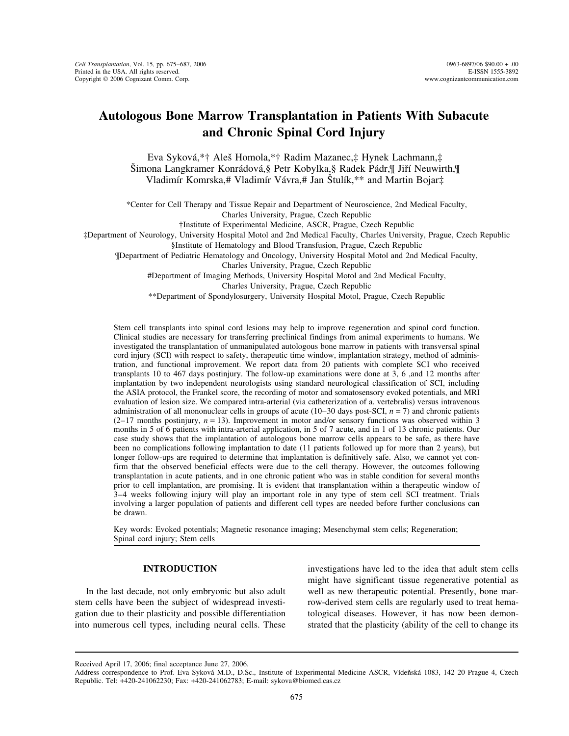# **Autologous Bone Marrow Transplantation in Patients With Subacute and Chronic Spinal Cord Injury**

Eva Syková,\*† Aleš Homola,\*† Radim Mazanec,‡ Hynek Lachmann,‡ Simona Langkramer Konrádová,§ Petr Kobylka,§ Radek Pádr,¶ Jiří Neuwirth,¶ Vladimír Komrska,# Vladimír Vávra,# Jan Štulík,\*\* and Martin Bojar‡

\*Center for Cell Therapy and Tissue Repair and Department of Neuroscience, 2nd Medical Faculty, Charles University, Prague, Czech Republic

†Institute of Experimental Medicine, ASCR, Prague, Czech Republic

‡Department of Neurology, University Hospital Motol and 2nd Medical Faculty, Charles University, Prague, Czech Republic

§Institute of Hematology and Blood Transfusion, Prague, Czech Republic

¶Department of Pediatric Hematology and Oncology, University Hospital Motol and 2nd Medical Faculty,

Charles University, Prague, Czech Republic

#Department of Imaging Methods, University Hospital Motol and 2nd Medical Faculty,

Charles University, Prague, Czech Republic

\*\*Department of Spondylosurgery, University Hospital Motol, Prague, Czech Republic

Stem cell transplants into spinal cord lesions may help to improve regeneration and spinal cord function. Clinical studies are necessary for transferring preclinical findings from animal experiments to humans. We investigated the transplantation of unmanipulated autologous bone marrow in patients with transversal spinal cord injury (SCI) with respect to safety, therapeutic time window, implantation strategy, method of administration, and functional improvement. We report data from 20 patients with complete SCI who received transplants 10 to 467 days postinjury. The follow-up examinations were done at 3, 6 ,and 12 months after implantation by two independent neurologists using standard neurological classification of SCI, including the ASIA protocol, the Frankel score, the recording of motor and somatosensory evoked potentials, and MRI evaluation of lesion size. We compared intra-arterial (via catheterization of a. vertebralis) versus intravenous administration of all mononuclear cells in groups of acute  $(10-30 \text{ days post-SCI}, n = 7)$  and chronic patients  $(2-17$  months postinjury,  $n = 13$ ). Improvement in motor and/or sensory functions was observed within 3 months in 5 of 6 patients with intra-arterial application, in 5 of 7 acute, and in 1 of 13 chronic patients. Our case study shows that the implantation of autologous bone marrow cells appears to be safe, as there have been no complications following implantation to date (11 patients followed up for more than 2 years), but longer follow-ups are required to determine that implantation is definitively safe. Also, we cannot yet confirm that the observed beneficial effects were due to the cell therapy. However, the outcomes following transplantation in acute patients, and in one chronic patient who was in stable condition for several months prior to cell implantation, are promising. It is evident that transplantation within a therapeutic window of 3–4 weeks following injury will play an important role in any type of stem cell SCI treatment. Trials involving a larger population of patients and different cell types are needed before further conclusions can be drawn.

Key words: Evoked potentials; Magnetic resonance imaging; Mesenchymal stem cells; Regeneration; Spinal cord injury; Stem cells

stem cells have been the subject of widespread investi-<br>
row-derived stem cells are regularly used to treat hemagation due to their plasticity and possible differentiation tological diseases. However, it has now been demoninto numerous cell types, including neural cells. These strated that the plasticity (ability of the cell to change its

**INTRODUCTION** investigations have led to the idea that adult stem cells might have significant tissue regenerative potential as In the last decade, not only embryonic but also adult well as new therapeutic potential. Presently, bone mar-

Received April 17, 2006; final acceptance June 27, 2006.

Address correspondence to Prof. Eva Syková M.D., D.Sc., Institute of Experimental Medicine ASCR, Vídeňská 1083, 142 20 Prague 4, Czech Republic. Tel: +420-241062230; Fax: +420-241062783; E-mail: sykova@biomed.cas.cz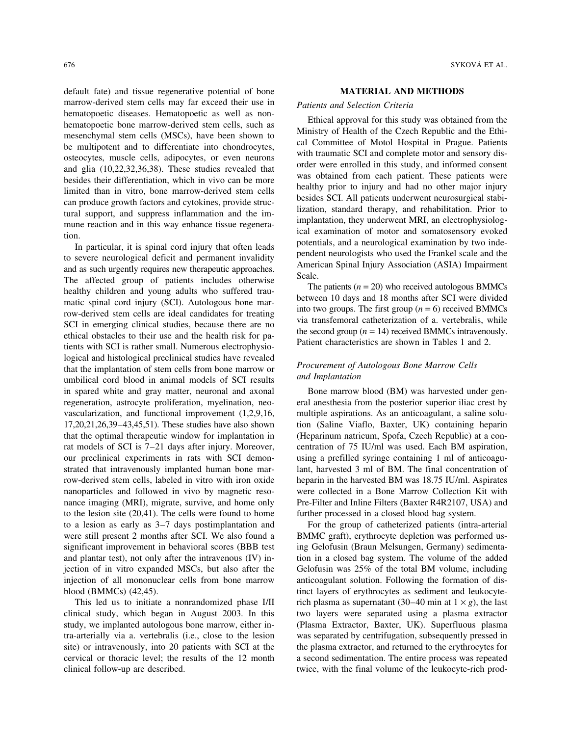default fate) and tissue regenerative potential of bone **MATERIAL AND METHODS** marrow-derived stem cells may far exceed their use in *Patients and Selection Criteria*<br>hematopoetic diseases. Hematopoetic as well as nonmatopoetic diseases. Hematopoetic as well as non-<br>hematopoetic bone marrow-derived stem cells, such as<br>messenchymal stem dels, such as<br>messenchymal stem dels (MSCs), have been shown to<br>be multipotent and to differentiate i

For particular, it is spinal cord injury that often leads<br>to severe neurological deficit and permanent invalidity<br>and as such urgently requires new therapeutic approaches.<br>The affected group of patients includes otherwise logical and histological preclinical studies have revealed<br>that the implantation of stem cells from bone marrow or<br>umbilical cord blood in animal models of SCI results and Implantation in spared white and gray matter, neuronal and axonal Bone marrow blood (BM) was harvested under genregeneration, astrocyte proliferation, myelination, neo- eral anesthesia from the posterior superior iliac crest by vascularization, and functional improvement (1,2,9,16, multiple aspirations. As an anticoagulant, a saline solu-17,20,21,26,39–43,45,51). These studies have also shown tion (Saline Viaflo, Baxter, UK) containing heparin that the optimal therapeutic window for implantation in (Heparinum natricum, Spofa, Czech Republic) at a conrat models of SCI is 7–21 days after injury. Moreover, centration of 75 IU/ml was used. Each BM aspiration, our preclinical experiments in rats with SCI demon- using a prefilled syringe containing 1 ml of anticoagustrated that intravenously implanted human bone mar- lant, harvested 3 ml of BM. The final concentration of row-derived stem cells, labeled in vitro with iron oxide heparin in the harvested BM was 18.75 IU/ml. Aspirates nanoparticles and followed in vivo by magnetic reso- were collected in a Bone Marrow Collection Kit with nance imaging (MRI), migrate, survive, and home only Pre-Filter and Inline Filters (Baxter R4R2107, USA) and to the lesion site (20,41). The cells were found to home further processed in a closed blood bag system. to a lesion as early as 3–7 days postimplantation and For the group of catheterized patients (intra-arterial were still present 2 months after SCI. We also found a BMMC graft), erythrocyte depletion was performed ussignificant improvement in behavioral scores (BBB test ing Gelofusin (Braun Melsungen, Germany) sedimentaand plantar test), not only after the intravenous (IV) in- tion in a closed bag system. The volume of the added jection of in vitro expanded MSCs, but also after the Gelofusin was 25% of the total BM volume, including injection of all mononuclear cells from bone marrow anticoagulant solution. Following the formation of disblood (BMMCs) (42,45). tinct layers of erythrocytes as sediment and leukocyte-

clinical follow-up are described. twice, with the final volume of the leukocyte-rich prod-

This led us to initiate a nonrandomized phase I/II rich plasma as supernatant  $(30-40 \text{ min at } 1 \times g)$ , the last clinical study, which began in August 2003. In this two layers were separated using a plasma extractor study, we implanted autologous bone marrow, either in- (Plasma Extractor, Baxter, UK). Superfluous plasma tra-arterially via a. vertebralis (i.e., close to the lesion was separated by centrifugation, subsequently pressed in site) or intravenously, into 20 patients with SCI at the the plasma extractor, and returned to the erythrocytes for cervical or thoracic level; the results of the 12 month a second sedimentation. The entire process was repeated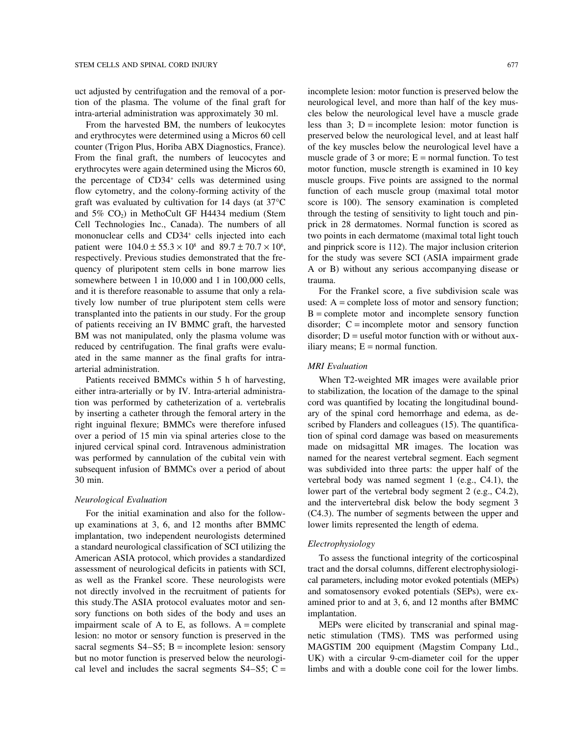uct adjusted by centrifugation and the removal of a por- incomplete lesion: motor function is preserved below the tion of the plasma. The volume of the final graft for neurological level, and more than half of the key musintra-arterial administration was approximately 30 ml. cles below the neurological level have a muscle grade

and erythrocytes were determined using a Micros 60 cell preserved below the neurological level, and at least half counter (Trigon Plus, Horiba ABX Diagnostics, France). of the key muscles below the neurological level have a From the final graft, the numbers of leucocytes and muscle grade of 3 or more;  $E =$  normal function. To test erythrocytes were again determined using the Micros 60, motor function, muscle strength is examined in 10 key the percentage of CD34<sup>+</sup> cells was determined using muscle groups. Five points are assigned to the normal flow cytometry, and the colony-forming activity of the function of each muscle group (maximal total motor graft was evaluated by cultivation for 14 days (at 37°C score is 100). The sensory examination is completed and  $5\%$  CO<sub>2</sub>) in MethoCult GF H4434 medium (Stem through the testing of sensitivity to light touch and pin-Cell Technologies Inc., Canada). The numbers of all prick in 28 dermatomes. Normal function is scored as mononuclear cells and CD34<sup>+</sup> cells injected into each two points in each dermatome (maximal total light touch patient were  $104.0 \pm 55.3 \times 10^8$  and  $89.7 \pm 70.7 \times 10^6$ , respectively. Previous studies demonstrated that the fre- for the study was severe SCI (ASIA impairment grade quency of pluripotent stem cells in bone marrow lies A or B) without any serious accompanying disease or somewhere between 1 in 10,000 and 1 in 100,000 cells, trauma. and it is therefore reasonable to assume that only a rela- For the Frankel score, a five subdivision scale was tively low number of true pluripotent stem cells were used: A = complete loss of motor and sensory function; transplanted into the patients in our study. For the group  $B =$  complete motor and incomplete sensory function of patients receiving an IV BMMC graft, the harvested disorder; C = incomplete motor and sensory function BM was not manipulated, only the plasma volume was disorder;  $D =$  useful motor function with or without auxreduced by centrifugation. The final grafts were evalu-<br>iliary means;  $E =$  normal function. ated in the same manner as the final grafts for intra-*MRI Evaluation* arterial administration.

Patients received BMMCs within 5 h of harvesting, When T2-weighted MR images were available prior either intra-arterially or by IV. Intra-arterial administra- to stabilization, the location of the damage to the spinal tion was performed by catheterization of a. vertebralis cord was quantified by locating the longitudinal boundby inserting a catheter through the femoral artery in the ary of the spinal cord hemorrhage and edema, as deright inguinal flexure; BMMCs were therefore infused scribed by Flanders and colleagues (15). The quantificaover a period of 15 min via spinal arteries close to the tion of spinal cord damage was based on measurements injured cervical spinal cord. Intravenous administration made on midsagittal MR images. The location was was performed by cannulation of the cubital vein with named for the nearest vertebral segment. Each segment subsequent infusion of BMMCs over a period of about was subdivided into three parts: the upper half of the 30 min. vertebral body was named segment 1 (e.g., C4.1), the

up examinations at 3, 6, and 12 months after BMMC lower limits represented the length of edema. implantation, two independent neurologists determined *Electrophysiology* a standard neurological classification of SCI utilizing the American ASIA protocol, which provides a standardized To assess the functional integrity of the corticospinal assessment of neurological deficits in patients with SCI, tract and the dorsal columns, different electrophysiologias well as the Frankel score. These neurologists were cal parameters, including motor evoked potentials (MEPs) not directly involved in the recruitment of patients for and somatosensory evoked potentials (SEPs), were exthis study.The ASIA protocol evaluates motor and sen- amined prior to and at 3, 6, and 12 months after BMMC sory functions on both sides of the body and uses an implantation. impairment scale of A to E, as follows.  $A =$ complete MEPs were elicited by transcranial and spinal maglesion: no motor or sensory function is preserved in the netic stimulation (TMS). TMS was performed using sacral segments S4–S5; B = incomplete lesion: sensory MAGSTIM 200 equipment (Magstim Company Ltd., but no motor function is preserved below the neurologi- UK) with a circular 9-cm-diameter coil for the upper cal level and includes the sacral segments  $S4-S5$ ;  $C =$  limbs and with a double cone coil for the lower limbs.

From the harvested BM, the numbers of leukocytes less than 3;  $D =$  incomplete lesion: motor function is and pinprick score is 112). The major inclusion criterion

lower part of the vertebral body segment 2 (e.g., C4.2), *Neurological Evaluation* and the intervertebral disk below the body segment 3 For the initial examination and also for the follow- (C4.3). The number of segments between the upper and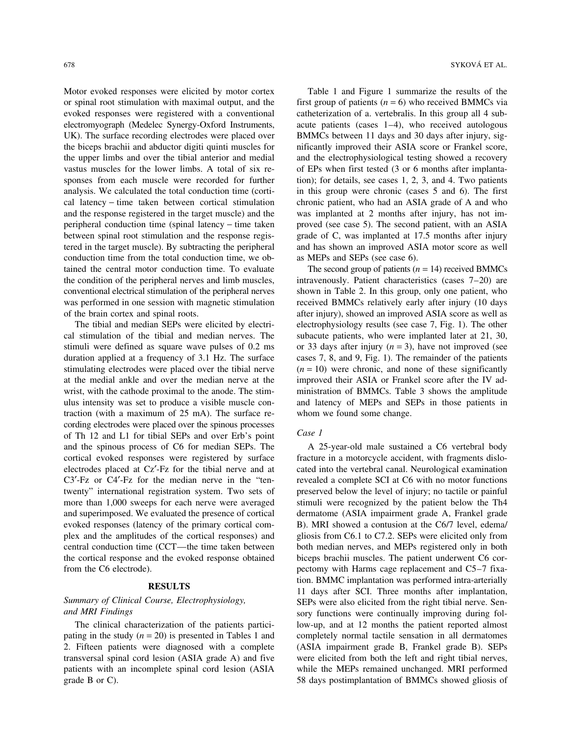or spinal root stimulation with maximal output, and the first group of patients  $(n = 6)$  who received BMMCs via evoked responses were registered with a conventional catheterization of a. vertebralis. In this group all 4 subelectromyograph (Medelec Synergy-Oxford Instruments, acute patients (cases 1–4), who received autologous UK). The surface recording electrodes were placed over BMMCs between 11 days and 30 days after injury, sigthe biceps brachii and abductor digiti quinti muscles for nificantly improved their ASIA score or Frankel score, the upper limbs and over the tibial anterior and medial and the electrophysiological testing showed a recovery vastus muscles for the lower limbs. A total of six re- of EPs when first tested (3 or 6 months after implantasponses from each muscle were recorded for further tion); for details, see cases 1, 2, 3, and 4. Two patients analysis. We calculated the total conduction time (corti- in this group were chronic (cases 5 and 6). The first cal latency − time taken between cortical stimulation chronic patient, who had an ASIA grade of A and who and the response registered in the target muscle) and the was implanted at 2 months after injury, has not imperipheral conduction time (spinal latency − time taken proved (see case 5). The second patient, with an ASIA between spinal root stimulation and the response regis- grade of C, was implanted at 17.5 months after injury tered in the target muscle). By subtracting the peripheral and has shown an improved ASIA motor score as well conduction time from the total conduction time, we ob- as MEPs and SEPs (see case 6). tained the central motor conduction time. To evaluate The second group of patients (*n* = 14) received BMMCs the condition of the peripheral nerves and limb muscles, intravenously. Patient characteristics (cases  $7-20$ ) are conventional electrical stimulation of the peripheral nerves shown in Table 2. In this group, only one patient, who was performed in one session with magnetic stimulation received BMMCs relatively early after injury (10 days of the brain cortex and spinal roots. after injury), showed an improved ASIA score as well as

cal stimulation of the tibial and median nerves. The subacute patients, who were implanted later at 21, 30, stimuli were defined as square wave pulses of  $0.2 \text{ ms}$  or  $33 \text{ days}$  after injury  $(n=3)$ , have not improved (see duration applied at a frequency of 3.1 Hz. The surface cases 7, 8, and 9, Fig. 1). The remainder of the patients stimulating electrodes were placed over the tibial nerve  $(n = 10)$  were chronic, and none of these significantly at the medial ankle and over the median nerve at the improved their ASIA or Frankel score after the IV adwrist, with the cathode proximal to the anode. The stim-<br>ministration of BMMCs. Table 3 shows the amplitude ulus intensity was set to produce a visible muscle con- and latency of MEPs and SEPs in those patients in traction (with a maximum of 25 mA). The surface re- whom we found some change. cording electrodes were placed over the spinous processes of Th 12 and L1 for tibial SEPs and over Erb's point Case 1 and the spinous process of C6 for median SEPs. The A 25-year-old male sustained a C6 vertebral body cortical evoked responses were registered by surface fracture in a motorcycle accident, with fragments disloelectrodes placed at Cz'-Fz for the tibial nerve and at cated into the vertebral canal. Neurological examination C3′-Fz or C4′-Fz for the median nerve in the "ten- revealed a complete SCI at C6 with no motor functions twenty" international registration system. Two sets of preserved below the level of injury; no tactile or painful more than 1,000 sweeps for each nerve were averaged stimuli were recognized by the patient below the Th4 and superimposed. We evaluated the presence of cortical dermatome (ASIA impairment grade A, Frankel grade evoked responses (latency of the primary cortical com- B). MRI showed a contusion at the C6/7 level, edema/ plex and the amplitudes of the cortical responses) and gliosis from C6.1 to C7.2. SEPs were elicited only from central conduction time (CCT—the time taken between both median nerves, and MEPs registered only in both the cortical response and the evoked response obtained biceps brachii muscles. The patient underwent C6 corfrom the C6 electrode). **pectomy with Harms cage replacement and C5–7 fixa-**

pating in the study  $(n = 20)$  is presented in Tables 1 and completely normal tactile sensation in all dermatomes 2. Fifteen patients were diagnosed with a complete (ASIA impairment grade B, Frankel grade B). SEPs transversal spinal cord lesion (ASIA grade A) and five were elicited from both the left and right tibial nerves, patients with an incomplete spinal cord lesion (ASIA while the MEPs remained unchanged. MRI performed grade B or C). 58 days postimplantation of BMMCs showed gliosis of

Motor evoked responses were elicited by motor cortex Table 1 and Figure 1 summarize the results of the

The tibial and median SEPs were elicited by electri-<br>electrophysiology results (see case 7, Fig. 1). The other

**RESULTS** 11 days after SCI. Three months after implantation, **RESULTS** *Summary of Clinical Course, Electrophysiology,* SEPs were also elicited from the right tibial nerve. Sen-<br>
sory functions were continually improving during fol*and MRI Findings* sory functions were continually improving during fol-The clinical characterization of the patients partici- low-up, and at 12 months the patient reported almost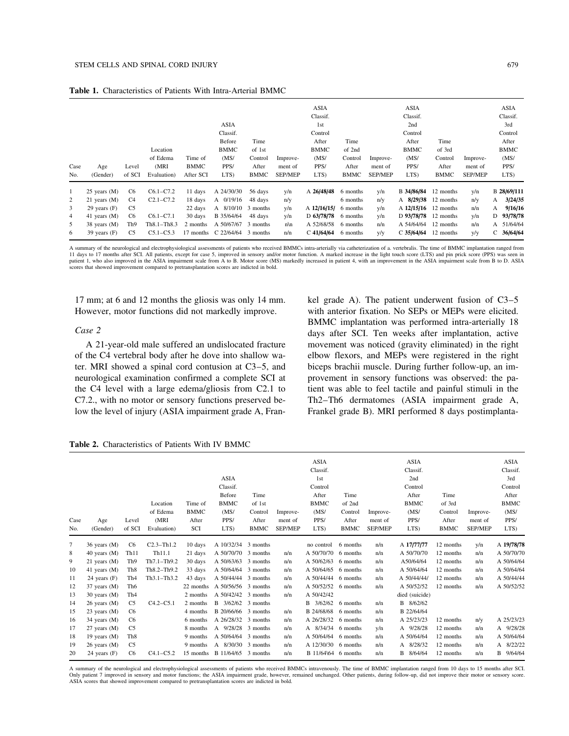|                |                  |                |                 |             |                       |             |                | ASIA          |             |                | ASIA         |             |                | <b>ASIA</b>  |
|----------------|------------------|----------------|-----------------|-------------|-----------------------|-------------|----------------|---------------|-------------|----------------|--------------|-------------|----------------|--------------|
|                |                  |                |                 |             |                       |             |                | Classif.      |             |                | Classif.     |             |                | Classif.     |
|                |                  |                |                 |             | <b>ASIA</b>           |             |                | 1st           |             |                | 2nd          |             |                | 3rd          |
|                |                  |                |                 |             | Classif.              |             |                | Control       |             |                | Control      |             |                | Control      |
|                |                  |                |                 |             | Before                | Time        |                | After         | Time        |                | After        | Time        |                | After        |
|                |                  |                | Location        |             | <b>BMMC</b>           | of 1st      |                | <b>BMMC</b>   | of 2nd      |                | <b>BMMC</b>  | of 3rd      |                | <b>BMMC</b>  |
|                |                  |                | of Edema        | Time of     | (MS)                  | Control     | Improve-       | (MS)          | Control     | Improve-       | (MS)         | Control     | Improve-       | (MS)         |
| Case           | Age              | Level          | (MRI            | <b>BMMC</b> | PPS/                  | After       | ment of        | PPS/          | After       | ment of        | PPS/         | After       | ment of        | PPS/         |
| No.            | (Gender)         | of SCI         | Evaluation)     | After SCI   | LTS)                  | <b>BMMC</b> | <b>SEP/MEP</b> | LTS)          | <b>BMMC</b> | <b>SEP/MEP</b> | LTS)         | <b>BMMC</b> | <b>SEP/MEP</b> | LTS)         |
|                | $25$ years $(M)$ | C <sub>6</sub> | $C6.1 - C7.2$   | 11 days     | A 24/30/30            | 56 days     | v/n            | A 26/48/48    | 6 months    | v/n            | B 34/86/84   | 12 months   | y/n            | B 28/69/111  |
| 2              | $21$ years $(M)$ | C <sub>4</sub> | $C2.1 - C7.2$   | 18 days     | A 0/19/16             | 48 days     | n/y            |               | 6 months    | n/v            | A 8/29/38    | 12 months   | n/v            | 3/24/35<br>A |
| 3              | $29$ years $(F)$ | C5             |                 | 22 days     | $A \quad 8/10/10$     | 3 months    | y/n            | $A$ 12/16/15/ | 6 months    | v/n            | A 12/15/16   | 12 months   | n/n            | 9/16/16<br>A |
| $\overline{4}$ | 41 years $(M)$   | C <sub>6</sub> | $C6.1 - C7.1$   | 30 days     | B 35/64/64            | 48 days     | v/n            | D 63/78/78    | 6 months    | v/n            | D 93/78/78   | 12 months   | v/n            | D 93/78/78   |
| 5              | $38$ years $(M)$ | Th9            | $Th8.1 - Th8.3$ | 2 months    | A 50/67/67 3 months   |             | n\n            | A 52/68/58    | 6 months    | n/n            | A 54/64/64   | 12 months   | n/n            | A 51/64/64   |
| 6              | $39$ years $(F)$ | C <sub>5</sub> | $C5.1 - C5.3$   | 17 months   | $C$ 22/64/64 3 months |             | n/n            | C 41/64/64    | 6 months    | y/y            | $C$ 35/64/64 | 12 months   | y/y            | $C$ 36/64/64 |
|                |                  |                |                 |             |                       |             |                |               |             |                |              |             |                |              |

**Table 1.** Characteristics of Patients With Intra-Arterial BMMC

A summary of the neurological and electrophysiological assessments of patients who received BMMCs intra-arterially via catheterization of a. vertebralis. The time of BMMC implantation ranged from 11 days to 17 months after SCI. All patients, except for case 5, improved in sensory and/or motor function. A marked increase in the light touch score (LTS) and pin prick score (PPS) was seen in<br>patient 1, who also improve

However, motor functions did not markedly improve. with anterior fixation. No SEPs or MEPs were elicited.

of the C4 vertebral body after he dove into shallow wa- elbow flexors, and MEPs were registered in the right ter. MRI showed a spinal cord contusion at C3–5, and biceps brachii muscle. During further follow-up, an imneurological examination confirmed a complete SCI at provement in sensory functions was observed: the pathe C4 level with a large edema/gliosis from C2.1 to tient was able to feel tactile and painful stimuli in the C7.2., with no motor or sensory functions preserved be- Th2–Th6 dermatomes (ASIA impairment grade A, low the level of injury (ASIA impairment grade A, Fran- Frankel grade B). MRI performed 8 days postimplanta-

17 mm; at 6 and 12 months the gliosis was only 14 mm. kel grade A). The patient underwent fusion of C3–5 BMMC implantation was performed intra-arterially 18 *Case 2* days after SCI. Ten weeks after implantation, active A 21-year-old male suffered an undislocated fracture movement was noticed (gravity eliminated) in the right

**Table 2.** Characteristics of Patients With IV BMMC

| Case<br>No. | Age<br>(Gender)  | Level<br>of SCI | Location<br>of Edema<br>(MRI<br>Evaluation) | Time of<br><b>BMMC</b><br>After<br>SCI | <b>ASIA</b><br>Classif.<br>Before<br><b>BMMC</b><br>(MS)<br>PPS/<br>LTS) | Time<br>of 1st<br>Control<br>After<br><b>BMMC</b> | Improve-<br>ment of<br><b>SEP/MEP</b> | ASIA<br>Classif.<br>1st<br>Control<br>After<br><b>BMMC</b><br>(MS)<br>PPS/<br>LTS) | Time<br>of 2nd<br>Control<br>After<br><b>BMMC</b> | Improve-<br>ment of<br><b>SEP/MEP</b> | ASIA<br>Classif.<br>2nd<br>Control<br>After<br><b>BMMC</b><br>(MS)<br>PPS/<br>LTS) | Time<br>of 3rd<br>Control<br>After<br><b>BMMC</b> | Improve-<br>ment of<br><b>SEP/MEP</b> | <b>ASIA</b><br>Classif.<br>3rd<br>Control<br>After<br><b>BMMC</b><br>(MS)<br>PPS/<br>LTS) |
|-------------|------------------|-----------------|---------------------------------------------|----------------------------------------|--------------------------------------------------------------------------|---------------------------------------------------|---------------------------------------|------------------------------------------------------------------------------------|---------------------------------------------------|---------------------------------------|------------------------------------------------------------------------------------|---------------------------------------------------|---------------------------------------|-------------------------------------------------------------------------------------------|
|             |                  |                 |                                             |                                        |                                                                          |                                                   |                                       |                                                                                    |                                                   |                                       |                                                                                    |                                                   |                                       |                                                                                           |
| $\tau$      | $36$ years $(M)$ | C <sub>6</sub>  | $C2.3 - Th1.2$                              | 10 days                                | A 10/32/34                                                               | 3 months                                          |                                       | no control                                                                         | 6 months                                          | n/n                                   | A 17/77/77                                                                         | 12 months                                         | v/n                                   | A 19/78/78                                                                                |
| 8           | 40 years $(M)$   | Th11            | Th <sub>11.1</sub>                          | 21 days                                | A 50/70/70                                                               | 3 months                                          | n/n                                   | A 50/70/70                                                                         | 6 months                                          | n/n                                   | A 50/70/70                                                                         | 12 months                                         | n/n                                   | A 50/70/70                                                                                |
| 9           | $21$ years $(M)$ | Th <sub>9</sub> | $Th7.1 - Th9.2$                             | 30 days                                | A 50/63/63                                                               | 3 months                                          | n/n                                   | A 50/62/63                                                                         | 6 months                                          | n/n                                   | A50/64/64                                                                          | 12 months                                         | n/n                                   | A 50/64/64                                                                                |
| 10          | 41 years $(M)$   | Th <sub>8</sub> | Th <sub>8.2</sub> -Th <sub>9.2</sub>        | 33 days                                | A 50/64/64                                                               | 3 months                                          | n/n                                   | A 50/64/65                                                                         | 6 months                                          | n/n                                   | A 50/64/64                                                                         | 12 months                                         | n/n                                   | A 50/64/64                                                                                |
| 11          | $24$ years $(F)$ | Th <sub>4</sub> | $Th3.1 - Th3.2$                             | 43 days                                | A 50/44/44                                                               | 3 months                                          | n/n                                   | A 50/44/44                                                                         | 6 months                                          | n/n                                   | A 50/44/44/                                                                        | 12 months                                         | n/n                                   | A 50/44/44                                                                                |
| 12          | $37$ years $(M)$ | Th <sub>6</sub> |                                             | 22 months                              | A 50/56/56                                                               | 3 months                                          | n/n                                   | A 50/52/52                                                                         | 6 months                                          | n/n                                   | A 50/52/52                                                                         | 12 months                                         | n/n                                   | A 50/52/52                                                                                |
| 13          | $30$ years $(M)$ | Th <sub>4</sub> |                                             | 2 months                               | A 50/42/42 3 months                                                      |                                                   | n/n                                   | A 50/42/42                                                                         |                                                   |                                       | died (suicide)                                                                     |                                                   |                                       |                                                                                           |
| 14          | $26$ years $(M)$ | C5              | $C4.2 - C5.1$                               | 2 months                               | B 3/62/62                                                                | 3 months                                          |                                       | 3/62/62<br>B                                                                       | 6 months                                          | n/n                                   | B 8/62/62                                                                          |                                                   |                                       |                                                                                           |
| 15          | $23$ years $(M)$ | C <sub>6</sub>  |                                             | 4 months                               | B 20/66/66                                                               | 3 months                                          | n/n                                   | B 24/68/68                                                                         | 6 months                                          | n/n                                   | B 22/64/64                                                                         |                                                   |                                       |                                                                                           |
| 16          | $34$ years $(M)$ | C <sub>6</sub>  |                                             | 6 months                               | A 26/28/32                                                               | 3 months                                          | n/n                                   | A 26/28/32                                                                         | 6 months                                          | n/n                                   | A 25/23/23                                                                         | 12 months                                         | n/v                                   | A 25/23/23                                                                                |
| 17          | $27$ years $(M)$ | C <sub>5</sub>  |                                             | 8 months                               | A 9/28/28                                                                | 3 months                                          | n/n                                   | A 8/34/34                                                                          | 6 months                                          | y/n                                   | A 9/28/28                                                                          | 12 months                                         | n/n                                   | A 9/28/28                                                                                 |
| 18          | 19 years $(M)$   | Th <sub>8</sub> |                                             | 9 months                               | A 50/64/64                                                               | 3 months                                          | n/n                                   | A 50/64/64                                                                         | 6 months                                          | n/n                                   | A 50/64/64                                                                         | 12 months                                         | n/n                                   | A 50/64/64                                                                                |
| 19          | $26$ years $(M)$ | C <sub>5</sub>  |                                             | 9 months                               | A 8/30/30 3 months                                                       |                                                   | n/n                                   | A 12/30/30 6 months                                                                |                                                   | n/n                                   | A 8/28/32                                                                          | 12 months                                         | n/n                                   | A 8/22/22                                                                                 |
| 20          | $24$ years $(F)$ | C <sub>6</sub>  | $C4.1 - C5.2$                               | 15 months                              | B 11/64/65                                                               | 3 months                                          | n/n                                   | B 11/64\64 6 months                                                                |                                                   | n/n                                   | B 8/64/64                                                                          | 12 months                                         | n/n                                   | 9/64/64<br>B                                                                              |

A summary of the neurological and electrophysiological assessments of patients who received BMMCs intravenously. The time of BMMC implantation ranged from 10 days to 15 months after SCI. Only patient 7 improved in sensory and motor functions; the ASIA impairment grade, however, remained unchanged. Other patients, during follow-up, did not improve their motor or sensory score. ASIA scores that showed improvement compared to pretransplantation scores are indicted in bold.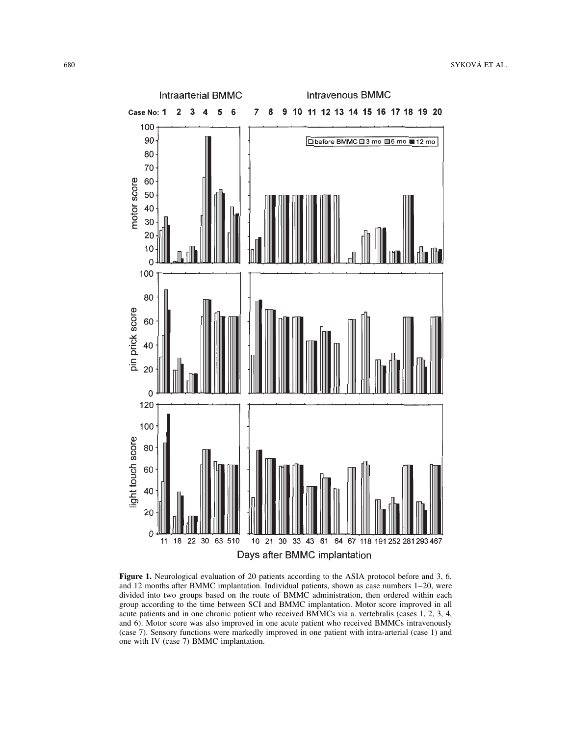

**Figure 1.** Neurological evaluation of 20 patients according to the ASIA protocol before and 3, 6, and 12 months after BMMC implantation. Individual patients, shown as case numbers 1–20, were divided into two groups based on the route of BMMC administration, then ordered within each group according to the time between SCI and BMMC implantation. Motor score improved in all acute patients and in one chronic patient who received BMMCs via a. vertebralis (cases 1, 2, 3, 4, and 6). Motor score was also improved in one acute patient who received BMMCs intravenously (case 7). Sensory functions were markedly improved in one patient with intra-arterial (case 1) and one with IV (case 7) BMMC implantation.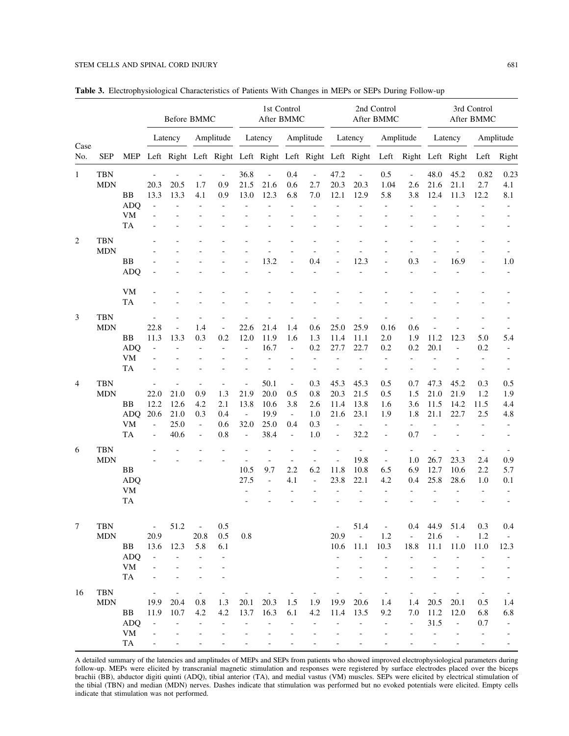|             | <b>SEP</b>                 |                                             | Before BMMC                                                |                                          |                                                                 |                                                          | 1st Control<br>After BMMC                                                                      |                                                             |                                                                                                       |                                                          | 2nd Control<br>After BMMC                                                  |                                                                                  |                                                                                      |                                                             | 3rd Control<br>After BMMC                        |                                     |                                                             |                                        |
|-------------|----------------------------|---------------------------------------------|------------------------------------------------------------|------------------------------------------|-----------------------------------------------------------------|----------------------------------------------------------|------------------------------------------------------------------------------------------------|-------------------------------------------------------------|-------------------------------------------------------------------------------------------------------|----------------------------------------------------------|----------------------------------------------------------------------------|----------------------------------------------------------------------------------|--------------------------------------------------------------------------------------|-------------------------------------------------------------|--------------------------------------------------|-------------------------------------|-------------------------------------------------------------|----------------------------------------|
| Case<br>No. |                            |                                             | Latency                                                    |                                          | Amplitude                                                       |                                                          | Latency                                                                                        |                                                             | Amplitude                                                                                             |                                                          | Latency                                                                    |                                                                                  |                                                                                      | Amplitude                                                   | Latency                                          |                                     |                                                             | Amplitude                              |
|             |                            |                                             |                                                            |                                          |                                                                 |                                                          |                                                                                                |                                                             |                                                                                                       |                                                          |                                                                            | MEP Left Right Left Right Left Right Left Right Left Right Left Right Left Right |                                                                                      |                                                             |                                                  |                                     | Left                                                        | Right                                  |
| 1           | <b>TBN</b><br><b>MDN</b>   | <b>BB</b><br><b>ADQ</b><br>VM<br>TA         | 20.3<br>13.3<br>$\overline{\phantom{a}}$                   | 20.5<br>13.3<br>$\overline{a}$           | $\frac{1}{2}$<br>1.7<br>4.1<br>$\overline{a}$                   | $\overline{\phantom{a}}$<br>0.9<br>0.9<br>$\overline{a}$ | 36.8<br>21.5<br>13.0<br>$\overline{a}$                                                         | $\overline{\phantom{a}}$<br>21.6<br>12.3<br>$\overline{a}$  | 0.4<br>0.6<br>6.8<br>$\overline{a}$                                                                   | $\overline{\phantom{a}}$<br>2.7<br>7.0<br>$\overline{a}$ | 47.2<br>20.3<br>12.1<br>$\overline{a}$                                     | $\blacksquare$<br>20.3<br>12.9<br>$\overline{a}$                                 | 0.5<br>1.04<br>5.8<br>$\overline{a}$                                                 | $\blacksquare$<br>2.6<br>3.8                                | 48.0<br>21.6<br>12.4                             | 45.2<br>21.1<br>11.3                | 0.82<br>2.7<br>12.2                                         | 0.23<br>4.1<br>8.1                     |
| 2           | TBN<br><b>MDN</b>          | <b>BB</b><br><b>ADQ</b><br>${\it VM}$<br>TA |                                                            |                                          |                                                                 |                                                          |                                                                                                | 13.2                                                        |                                                                                                       | 0.4                                                      |                                                                            | 12.3                                                                             |                                                                                      | 0.3                                                         |                                                  | 16.9                                |                                                             | 1.0                                    |
| 3           | <b>TBN</b><br><b>MDN</b>   | <b>BB</b><br><b>ADQ</b><br>VM<br>TA         | 22.8<br>11.3<br>$\frac{1}{2}$                              | $\overline{a}$<br>13.3<br>$\overline{a}$ | 1.4<br>0.3<br>$\blacksquare$                                    | $\frac{1}{2}$<br>0.2<br>$\frac{1}{2}$                    | 22.6<br>12.0<br>$\overline{\phantom{0}}$                                                       | 21.4<br>11.9<br>16.7                                        | 1.4<br>1.6<br>$\frac{1}{2}$                                                                           | 0.6<br>1.3<br>0.2                                        | 25.0<br>11.4<br>27.7<br>$\overline{a}$                                     | 25.9<br>11.1<br>22.7<br>$\overline{a}$                                           | 0.16<br>2.0<br>0.2<br>$\blacksquare$                                                 | 0.6<br>1.9<br>0.2                                           | 11.2<br>20.1                                     | 12.3<br>$\frac{1}{2}$               | 5.0<br>0.2                                                  | 5.4                                    |
| 4           | TBN<br><b>MDN</b>          | <b>BB</b><br><b>ADQ</b><br>VM<br>TA         | 22.0<br>12.2<br>20.6<br>$\overline{a}$                     | 21.0<br>12.6<br>21.0<br>25.0<br>40.6     | 0.9<br>4.2<br>0.3<br>$\blacksquare$<br>$\overline{\phantom{a}}$ | 1.3<br>2.1<br>0.4<br>0.6<br>$0.8\,$                      | $\blacksquare$<br>21.9<br>13.8<br>$\overline{\phantom{a}}$<br>32.0<br>$\overline{\phantom{a}}$ | 50.1<br>20.0<br>10.6<br>19.9<br>25.0<br>38.4                | $\overline{\phantom{a}}$<br>0.5<br>3.8<br>$\overline{\phantom{a}}$<br>0.4<br>$\overline{\phantom{a}}$ | 0.3<br>$0.8\,$<br>2.6<br>1.0<br>0.3<br>$1.0\,$           | 45.3<br>20.3<br>11.4<br>21.6<br>$\overline{\phantom{a}}$<br>$\blacksquare$ | 45.3<br>21.5<br>13.8<br>23.1<br>$\qquad \qquad \blacksquare$<br>32.2             | 0.5<br>0.5<br>1.6<br>1.9<br>$\qquad \qquad \blacksquare$<br>$\overline{\phantom{a}}$ | 0.7<br>1.5<br>3.6<br>1.8<br>$\overline{\phantom{a}}$<br>0.7 | 47.3<br>21.0<br>11.5<br>21.1<br>$\overline{a}$   | 45.2<br>21.9<br>14.2<br>22.7        | 0.3<br>1.2<br>11.5<br>2.5<br>$\overline{a}$                 | 0.5<br>1.9<br>4.4<br>4.8               |
| 6           | <b>TBN</b><br><b>MDN</b>   | <b>BB</b><br><b>ADQ</b><br>${\it VM}$<br>TA |                                                            |                                          |                                                                 |                                                          | 10.5<br>27.5                                                                                   | $\overline{\phantom{0}}$<br>9.7<br>$\overline{\phantom{a}}$ | $\blacksquare$<br>2.2<br>4.1                                                                          | $\blacksquare$<br>6.2<br>$\blacksquare$                  | $\overline{\phantom{a}}$<br>11.8<br>23.8                                   | 19.8<br>10.8<br>22.1                                                             | Ξ<br>$\overline{\phantom{a}}$<br>6.5<br>4.2                                          | 1.0<br>6.9<br>0.4                                           | 26.7<br>12.7<br>25.8                             | 23.3<br>10.6<br>28.6                | 2.4<br>2.2<br>1.0                                           | 0.9<br>5.7<br>0.1                      |
| $\tau$      | <b>TBN</b><br><b>MDN</b>   | BB<br><b>ADQ</b><br>VM<br>TA                | $\sim$ $ \sim$<br>20.9<br>13.6<br>$\blacksquare$           | 51.2<br>12.3                             | $\sim$ $-$<br>20.8<br>5.8                                       | 0.5<br>0.5<br>6.1                                        | 0.8                                                                                            |                                                             |                                                                                                       |                                                          | $\omega_{\rm{max}}$<br>20.9<br>10.6<br>$\overline{a}$                      | 51.4<br>$\blacksquare$<br>11.1                                                   | $\sim$<br>1.2<br>10.3                                                                | 0.4<br>$\omega_{\rm c}$<br>18.8                             | 21.6<br>11.1                                     | 44.9 51.4<br>$\blacksquare$<br>11.0 | 0.3<br>1.2<br>11.0                                          | 0.4<br>$\sim$<br>12.3                  |
| 16          | <b>TBN</b><br>$\mbox{MDN}$ | BB<br><b>ADQ</b><br>VM<br>TA                | 19.9<br>11.9<br>$\overline{\phantom{a}}$<br>$\blacksquare$ | 20.4<br>10.7<br>$\overline{\phantom{a}}$ | $\rm 0.8$<br>4.2<br>$\overline{\phantom{a}}$                    | 1.3<br>4.2<br>$\overline{\phantom{a}}$                   | 20.1<br>13.7<br>$\overline{\phantom{a}}$                                                       | 20.3<br>16.3<br>$\overline{\phantom{a}}$                    | 1.5<br>6.1<br>$\overline{a}$                                                                          | 1.9<br>4.2<br>$\overline{\phantom{a}}$                   | 19.9<br>11.4<br>$\blacksquare$                                             | 20.6<br>13.5<br>$\frac{1}{2}$                                                    | 1.4<br>9.2<br>$\Box$                                                                 | 1.4<br>7.0<br>$\overline{\phantom{0}}$                      | 20.5<br>11.2<br>31.5<br>$\overline{\phantom{a}}$ | 20.1<br>12.0<br>$\equiv$            | 0.5<br>6.8<br>0.7<br>$\blacksquare$<br>$\qquad \qquad \Box$ | 1.4<br>6.8<br>$\overline{\phantom{a}}$ |

**Table 3.** Electrophysiological Characteristics of Patients With Changes in MEPs or SEPs During Follow-up

A detailed summary of the latencies and amplitudes of MEPs and SEPs from patients who showed improved electrophysiological parameters during follow-up. MEPs were elicited by transcranial magnetic stimulation and responses were registered by surface electrodes placed over the biceps brachii (BB), abductor digiti quinti (ADQ), tibial anterior (TA), and medial vastus (VM) muscles. SEPs were elicited by electrical stimulation of the tibial (TBN) and median (MDN) nerves. Dashes indicate that stimulation was performed but no evoked potentials were elicited. Empty cells indicate that stimulation was not performed.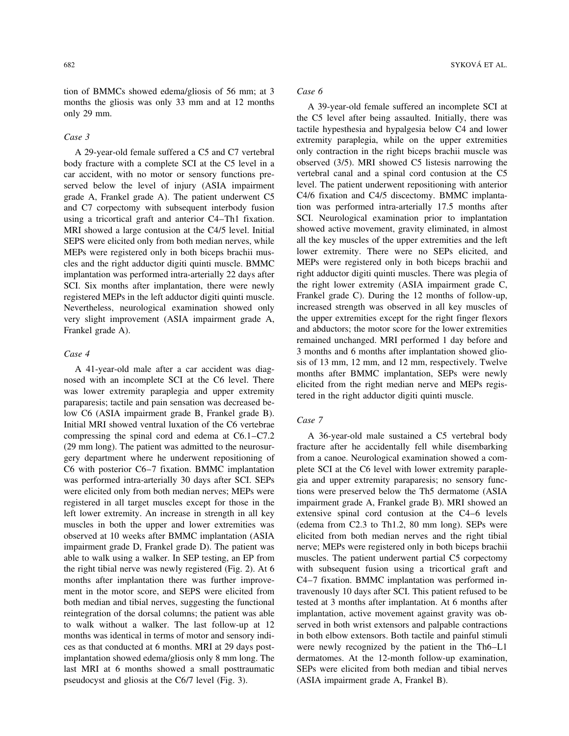tion of BMMCs showed edema/gliosis of 56 mm; at 3 *Case 6* months the gliosis was only 33 mm and at 12 months A 39-year-old female suffered an incomplete SCI at the C5 level after being assaulted. Initially, there was

body fracture with a complete SCI at the C5 level in a observed (3/5). MRI showed C5 listesis narrowing the car accident, with no motor or sensory functions precar accident, with no motor or sensory functions preserved below the level of injury (ASIA impairment level. The patient underwent repositioning with anterior grade A, Frankel grade A). The patient underwent C5 C4/6 fixation and C4/5 discectomy. BMMC implantaand C7 corpectomy with subsequent interbody fusion tion was performed intra-arterially 17.5 months after using a tricortical graft and anterior C4–Th1 fixation. SCI. Neurological examination prior to implantation MRI showed a large contusion at the C4/5 level. Initial showed active movement, gravity eliminated, in almost SEPS were elicited only from both median nerves, while all the key muscles of the upper extremities and the left MEPs were registered only in both biceps brachii mus- lower extremity. There were no SEPs elicited, and cles and the right adductor digiti quinti muscle. BMMC MEPs were registered only in both biceps brachii and implantation was performed intra-arterially 22 days after right adductor digiti quinti muscles. There was plegia of SCI. Six months after implantation, there were newly the right lower extremity (ASIA impairment grade C, registered MEPs in the left adductor digiti quinti muscle. Frankel grade C). During the 12 months of follow-up, registered MEPs in the left adductor digiti quinti muscle. Frankel grade C). During the 12 months of follow-up,<br>Nevertheless, neurological examination showed only increased strength was observed in all key muscles of Nevertheless, neurological examination showed only very slight improvement (ASIA impairment grade A, the upper extremities except for the right finger flexors Frankel grade A). **All and abductors**; the motor score for the lower extremities

low C6 (ASIA impairment grade B, Frankel grade B). *Case 7* Initial MRI showed ventral luxation of the C6 vertebrae compressing the spinal cord and edema at C6.1–C7.2 A 36-year-old male sustained a C5 vertebral body (29 mm long). The patient was admitted to the neurosur- fracture after he accidentally fell while disembarking gery department where he underwent repositioning of from a canoe. Neurological examination showed a com-C6 with posterior C6–7 fixation. BMMC implantation plete SCI at the C6 level with lower extremity paraplewas performed intra-arterially 30 days after SCI. SEPs gia and upper extremity paraparesis; no sensory funcwere elicited only from both median nerves; MEPs were tions were preserved below the Th5 dermatome (ASIA registered in all target muscles except for those in the impairment grade A, Frankel grade B). MRI showed an left lower extremity. An increase in strength in all key extensive spinal cord contusion at the C4–6 levels muscles in both the upper and lower extremities was (edema from C2.3 to Th1.2, 80 mm long). SEPs were observed at 10 weeks after BMMC implantation (ASIA elicited from both median nerves and the right tibial impairment grade D, Frankel grade D). The patient was nerve; MEPs were registered only in both biceps brachii able to walk using a walker. In SEP testing, an EP from muscles. The patient underwent partial C5 corpectomy the right tibial nerve was newly registered (Fig. 2). At 6 with subsequent fusion using a tricortical graft and months after implantation there was further improve- C4–7 fixation. BMMC implantation was performed inment in the motor score, and SEPS were elicited from travenously 10 days after SCI. This patient refused to be both median and tibial nerves, suggesting the functional tested at 3 months after implantation. At 6 months after reintegration of the dorsal columns; the patient was able implantation, active movement against gravity was obto walk without a walker. The last follow-up at 12 served in both wrist extensors and palpable contractions months was identical in terms of motor and sensory indi- in both elbow extensors. Both tactile and painful stimuli ces as that conducted at 6 months. MRI at 29 days post- were newly recognized by the patient in the Th6–L1 implantation showed edema/gliosis only 8 mm long. The dermatomes. At the 12-month follow-up examination, last MRI at 6 months showed a small posttraumatic SEPs were elicited from both median and tibial nerves pseudocyst and gliosis at the C6/7 level (Fig. 3). (ASIA impairment grade A, Frankel B).

tactile hypesthesia and hypalgesia below C4 and lower *Case 3* extremity paraplegia, while on the upper extremities A 29-year-old female suffered a C5 and C7 vertebral only contraction in the right biceps brachii muscle was<br>dy fracture with a complete SCI at the C5 level in a observed (3/5). MRI showed C5 listesis narrowing the remained unchanged. MRI performed 1 day before and *Case 4* 3 months and 6 months after implantation showed glio-<br>sis of 13 mm, 12 mm, and 12 mm, respectively. Twelve A 41-year-old male after a car accident was diag-<br>nosed with an incomplete SCI at the C6 level. There<br>was lower extremity paraplegia and upper extremity<br>paraparesis; tactile and pain sensation was decreased be-<br>paraparesis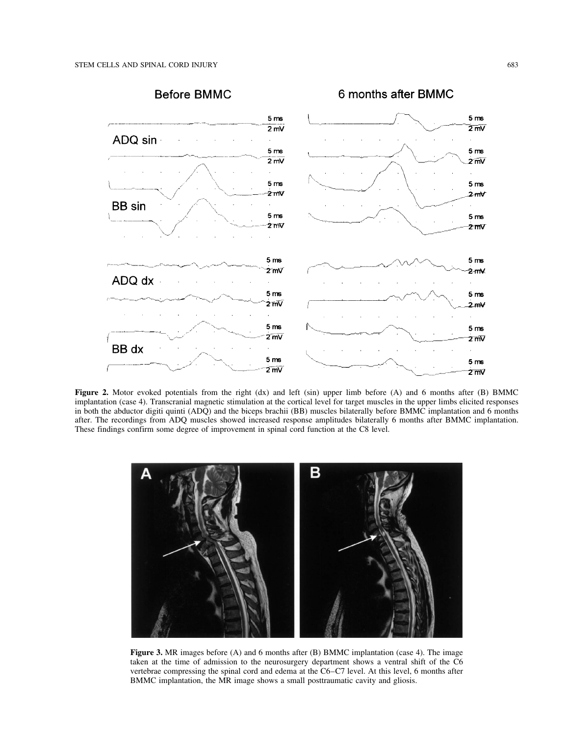

Figure 2. Motor evoked potentials from the right (dx) and left (sin) upper limb before (A) and 6 months after (B) BMMC implantation (case 4). Transcranial magnetic stimulation at the cortical level for target muscles in the upper limbs elicited responses in both the abductor digiti quinti (ADQ) and the biceps brachii (BB) muscles bilaterally before BMMC implantation and 6 months after. The recordings from ADQ muscles showed increased response amplitudes bilaterally 6 months after BMMC implantation. These findings confirm some degree of improvement in spinal cord function at the C8 level.



**Figure 3.** MR images before (A) and 6 months after (B) BMMC implantation (case 4). The image taken at the time of admission to the neurosurgery department shows a ventral shift of the C6 vertebrae compressing the spinal cord and edema at the C6–C7 level. At this level, 6 months after BMMC implantation, the MR image shows a small posttraumatic cavity and gliosis.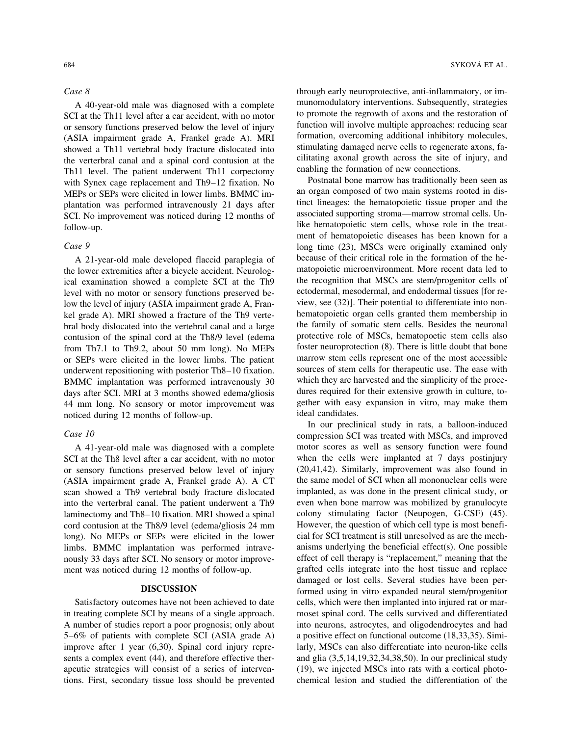SCI at the Th11 level after a car accident, with no motor to promote the regrowth of axons and the restoration of or sensory functions preserved below the level of injury function will involve multiple approaches: reducing or sensory functions preserved below the level of injury<br>(ASIA impairment grade A Frankel grade A) MRI formation, overcoming additional inhibitory molecules, formation, overcoming additional inhibitory molecules, (ASIA impairment grade A, Frankel grade A). MRI showed a Th11 vertebral body fracture dislocated into<br>the stimulating damaged nerve cells to regenerate axons, fa-<br>the verterbral canal and a spinal cord contusion at the cilitating axonal growth across the site of injury, the verterbral canal and a spinal cord contusion at the cilitating axonal growth across the site of The nation in the verterbral corrections. Th11 level. The patient underwent Th11 corpectomy<br>with Synex cage replacement and Th9–12 fixation No<br>Postnatal bone marrow has traditionally been seen as with Synex cage replacement and Th9–12 fixation. No Postnatal bone marrow has traditionally been seen as<br>MEPs or SEPs were elicited in lower limbs BMMC im-<br>an organ composed of two main systems rooted in dis-MEPs or SEPs were elicited in lower limbs. BMMC im-<br>net organ composed of two main systems rooted in dis-<br>neutration was performed intravenously 21 days after the lineages: the hematopoietic tissue proper and the plantation was performed intravenously 21 days after the limeages: the hematopoietic tissue proper and the plantation was posted during 12 months of associated supporting stroma—marrow stromal cells. Un-SCI. No improvement was noticed during 12 months of follow-up.

the lower extremities after a bicycle accident. Neurolog-<br>
the recognition that MSCs are stem/progenitor cells of<br>
the recognition that MSCs are stem/progenitor cells of ical examination showed a complete SCI at the Th9 the recognition that MSCs are stem/progenitor cells of ical examination showed a complete SCI at the Th9 the recognition that MSCs are stem/progenitor cells of ical example level with no motor or sensory functions preserved be-<br>low the level of injury (ASIA impairment grade A. Fran-<br>view, see (32)]. Their potential to differentiate into nonlow the level of injury (ASIA impairment grade A, Fran-<br>
view, see (32)]. Their potential to differentiate into non-<br>
kel grade A) MRI showed a fracture of the Th9 verte-<br>
hematopoietic organ cells granted them membership kel grade A). MRI showed a fracture of the Th9 verte-<br>hematopoietic organ cells granted them membership in<br>the family of somatic stem cells. Besides the neuronal<br>heral body dislocated into the vertebral canal and a large bral body dislocated into the vertebral canal and a large the family of somatic stem cells. Besides the neuronal contusion of the spinal cord at the Th8/9 level (edema protective role of MSCs, hematopoetic stem cells also contusion of the spinal cord at the Th8/9 level (edema protective role of MSCs, hematopoetic stem cells also<br>from Th7.1 to Th9.2, about 50 mm long). No MEPs foster neuroprotection (8). There is little doubt that bone from Th7.1 to Th9.2, about 50 mm long). No MEPs or SEPs were elicited in the lower limbs. The patient marrow stem cells represent one of the most accessible<br>underwent repositioning with posterior Th8–10 fixation sources of stem cells for therapeutic use. The ease with underwent repositioning with posterior Th8–10 fixation. sources of stem cells for therapeutic use. The ease with<br>BMMC implantation was performed intravenously 30 which they are harvested and the simplicity of the proce-BMMC implantation was performed intravenously 30 which they are harvested and the simplicity of the proce-<br>days after SCL MRI at 3 months showed edema/gliosis dures required for their extensive growth in culture, todays after SCI. MRI at 3 months showed edema/gliosis dures required for their extensive growth in culture, to-<br>44 mm long. No sensory or motor improvement was gether with easy expansion in vitro, may make them 44 mm long. No sensory or motor improvement was gether with easy noticed during 12 months of follow-up. ideal candidates. noticed during 12 months of follow-up.

SCI at the Th8 level after a car accident, with no motor when the cells were implanted at 7 days postinjury or sensory functions preserved below level of injury (20,41,42). Similarly, improvement was also found in (ASIA impairment grade A, Frankel grade A). A CT the same model of SCI when all mononuclear cells were scan showed a Th9 vertebral body fracture dislocated implanted, as was done in the present clinical study, or into the verterbral canal. The patient underwent a Th9 even when bone marrow was mobilized by granulocyte laminectomy and Th8–10 fixation. MRI showed a spinal colony stimulating factor (Neupogen, G-CSF) (45). cord contusion at the Th8/9 level (edema/gliosis 24 mm However, the question of which cell type is most benefilong). No MEPs or SEPs were elicited in the lower cial for SCI treatment is still unresolved as are the mechlimbs. BMMC implantation was performed intrave-<br>number anisms underlying the beneficial effect(s). One possible<br>nously 33 days after SCI. No sensory or motor improve-<br>effect of cell therapy is "replacement," meaning that t nously 33 days after SCI. No sensory or motor improvement was noticed during 12 months of follow-up. grafted cells integrate into the host tissue and replace

apeutic strategies will consist of a series of interven- (19), we injected MSCs into rats with a cortical phototions. First, secondary tissue loss should be prevented chemical lesion and studied the differentiation of the

*Case 8* through early neuroprotective, anti-inflammatory, or im-A 40-year-old male was diagnosed with a complete munomodulatory interventions. Subsequently, strategies T at the Th11 level after a car accident with no motor to promote the regrowth of axons and the restoration of

ment of hematopoietic diseases has been known for a *Case 9* long time (23), MSCs were originally examined only A 21-year-old male developed flaccid paraplegia of because of their critical role in the formation of the he-<br>hower extremities after a bicycle accident. Neurolog- matopoietic microenvironment. More recent data led to

In our preclinical study in rats, a balloon-induced *Case 10* compression SCI was treated with MSCs, and improved A 41-year-old male was diagnosed with a complete motor scores as well as sensory function were found damaged or lost cells. Several studies have been per-**DISCUSSION** formed using in vitro expanded neural stem/progenitor Satisfactory outcomes have not been achieved to date cells, which were then implanted into injured rat or marin treating complete SCI by means of a single approach. moset spinal cord. The cells survived and differentiated A number of studies report a poor prognosis; only about into neurons, astrocytes, and oligodendrocytes and had 5–6% of patients with complete SCI (ASIA grade A) a positive effect on functional outcome (18,33,35). Simiimprove after 1 year (6,30). Spinal cord injury repre- larly, MSCs can also differentiate into neuron-like cells sents a complex event (44), and therefore effective ther- and glia (3,5,14,19,32,34,38,50). In our preclinical study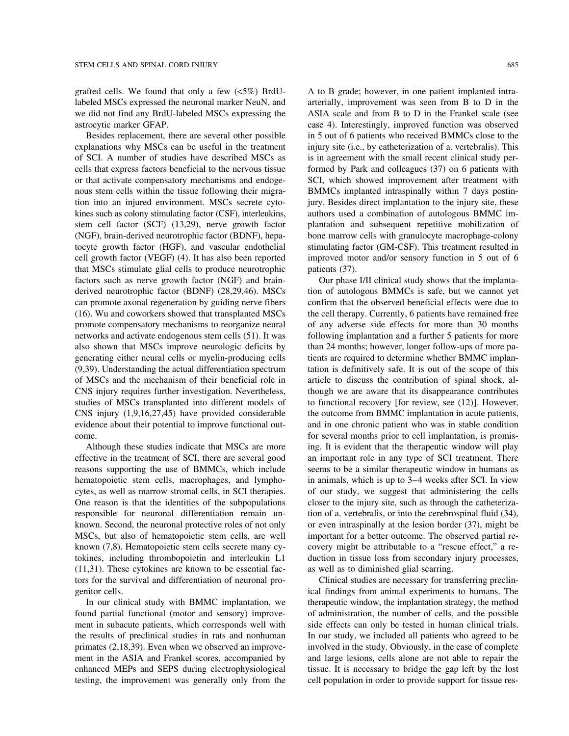labeled MSCs expressed the neuronal marker NeuN, and arterially, improvement was seen from B to D in the we did not find any BrdU-labeled MSCs expressing the ASIA scale and from B to D in the Frankel scale (see astrocytic marker GFAP. case 4). Interestingly, improved function was observed

explanations why MSCs can be useful in the treatment injury site (i.e., by catheterization of a. vertebralis). This of SCI. A number of studies have described MSCs as is in agreement with the small recent clinical study percells that express factors beneficial to the nervous tissue formed by Park and colleagues (37) on 6 patients with or that activate compensatory mechanisms and endoge- SCI, which showed improvement after treatment with nous stem cells within the tissue following their migra-<br>BMMCs implanted intraspinally within 7 days postintion into an injured environment. MSCs secrete cyto- jury. Besides direct implantation to the injury site, these kines such as colony stimulating factor (CSF), interleukins, authors used a combination of autologous BMMC imstem cell factor (SCF) (13,29), nerve growth factor plantation and subsequent repetitive mobilization of (NGF), brain-derived neurotrophic factor (BDNF), hepa- bone marrow cells with granulocyte macrophage-colony tocyte growth factor (HGF), and vascular endothelial stimulating factor (GM-CSF). This treatment resulted in cell growth factor (VEGF) (4). It has also been reported improved motor and/or sensory function in 5 out of 6 that MSCs stimulate glial cells to produce neurotrophic patients (37). factors such as nerve growth factor (NGF) and brain- Our phase I/II clinical study shows that the implantaderived neurotrophic factor (BDNF) (28,29,46). MSCs tion of autologous BMMCs is safe, but we cannot yet can promote axonal regeneration by guiding nerve fibers confirm that the observed beneficial effects were due to (16). Wu and coworkers showed that transplanted MSCs the cell therapy. Currently, 6 patients have remained free promote compensatory mechanisms to reorganize neural of any adverse side effects for more than 30 months networks and activate endogenous stem cells (51). It was following implantation and a further 5 patients for more also shown that MSCs improve neurologic deficits by than 24 months; however, longer follow-ups of more pagenerating either neural cells or myelin-producing cells tients are required to determine whether BMMC implan-(9,39). Understanding the actual differentiation spectrum tation is definitively safe. It is out of the scope of this of MSCs and the mechanism of their beneficial role in article to discuss the contribution of spinal shock, al-CNS injury requires further investigation. Nevertheless, though we are aware that its disappearance contributes studies of MSCs transplanted into different models of to functional recovery [for review, see (12)]. However, CNS injury (1,9,16,27,45) have provided considerable the outcome from BMMC implantation in acute patients, evidence about their potential to improve functional out- and in one chronic patient who was in stable condition come. for several months prior to cell implantation, is promis-

effective in the treatment of SCI, there are several good an important role in any type of SCI treatment. There reasons supporting the use of BMMCs, which include seems to be a similar therapeutic window in humans as hematopoietic stem cells, macrophages, and lympho- in animals, which is up to 3–4 weeks after SCI. In view cytes, as well as marrow stromal cells, in SCI therapies. of our study, we suggest that administering the cells One reason is that the identities of the subpopulations closer to the injury site, such as through the catheterizaresponsible for neuronal differentiation remain un- tion of a. vertebralis, or into the cerebrospinal fluid (34), known. Second, the neuronal protective roles of not only or even intraspinally at the lesion border (37), might be MSCs, but also of hematopoietic stem cells, are well important for a better outcome. The observed partial reknown (7,8). Hematopoietic stem cells secrete many cy- covery might be attributable to a "rescue effect," a retokines, including thrombopoietin and interleukin L1 duction in tissue loss from secondary injury processes, (11,31). These cytokines are known to be essential fac- as well as to diminished glial scarring. tors for the survival and differentiation of neuronal pro- Clinical studies are necessary for transferring preclingenitor cells. ical findings from animal experiments to humans. The

found partial functional (motor and sensory) improve- of administration, the number of cells, and the possible ment in subacute patients, which corresponds well with side effects can only be tested in human clinical trials. the results of preclinical studies in rats and nonhuman In our study, we included all patients who agreed to be primates (2,18,39). Even when we observed an improve- involved in the study. Obviously, in the case of complete ment in the ASIA and Frankel scores, accompanied by and large lesions, cells alone are not able to repair the enhanced MEPs and SEPS during electrophysiological tissue. It is necessary to bridge the gap left by the lost

grafted cells. We found that only a few  $\langle 5\% \rangle$  BrdU- A to B grade; however, in one patient implanted intra-Besides replacement, there are several other possible in 5 out of 6 patients who received BMMCs close to the

Although these studies indicate that MSCs are more ing. It is evident that the therapeutic window will play

In our clinical study with BMMC implantation, we therapeutic window, the implantation strategy, the method testing, the improvement was generally only from the cell population in order to provide support for tissue res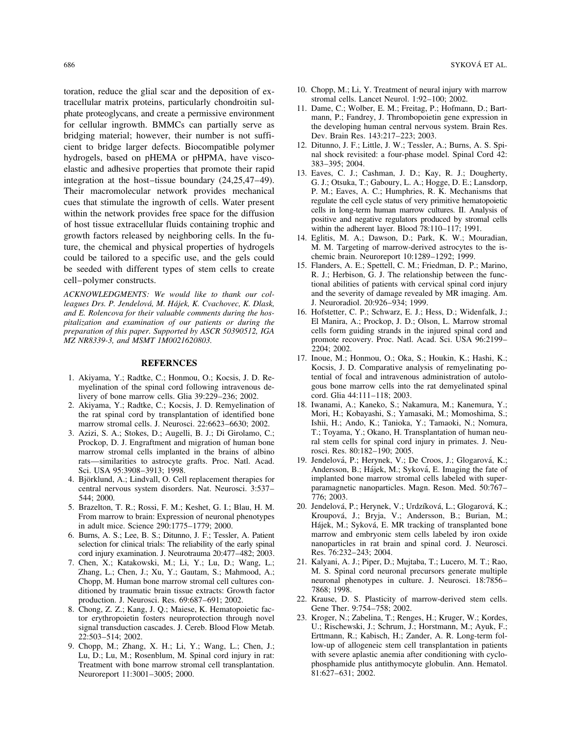toration, reduce the glial scar and the deposition of ex-<br>tracellular matrix proteins, particularly chondraitin sulling to stromal cells. Lancet Neurol. 1:92–100; 2002. tracellular matrix proteins, particularly chondroitin sul-<br>phate proteoglycans, and create a permissive environment<br>for cellular ingrowth. BMMCs can partially serve as<br>the developing human entral nervous system. Brain Res. bridging material; however, their number is not suffi-<br>
Dev. Brain Res. 143:217–223; 2003.<br>
cient to bridge larger defects. Biocompatible polymer. 12. Ditunno, J. F.; Little, J. W.; Tessler, A.; Burns, A. S. Spicient to bridge larger defects. Biocompatible polymer 12. Ditunno, J. F.; Little, J. W.; Tessler, A.; Burns, A. S. Spi-<br>hydrogals, based on pHEMA or pHDMA baye visco nal shock revisited: a four-phase model. Spinal Cord 42: hydrogels, based on pHEMA or pHPMA, have visco-<br>elastic and adhesive properties that promote their rapid<br>integration at the host-tissue boundary (24,25,47-49). <br>integration at the host-tissue boundary (24,25,47-49). <br>G. J. Their macromolecular network provides mechanical P. M.; Eaves, A. C.; Humphries, R. K. Mechanisms that cues that stimulate the ingrowth of cells. Water present regulate the cell cycle status of very primitive hematopoietic<br>within the network provides free space for the diffusion cells in long-term human marrow cultures. II. within the network provides free space for the diffusion<br>of host tissue extracellular fluids containing trophic and<br>growth factors released by neighboring cells. In the fu-<br>glitis, M. A.; Dawson, D.; Park, K. W.; Mouradian ture, the chemical and physical properties of hydrogels M. M. Targeting of marrow-derived astrocytes to the iscould be tailored to a specific use, and the gels could chemic brain. Neuroreport 10:1289–1292; 1999.

*leagues Drs. P. Jendelová, M. Hájek, K. Cvachovec, K. Dlask, and E. Rolencova for their valuable comments during the hos-* 16. Hofstetter, C. P.; Schwarz, E. J.; Hess, D.; Widenfalk, J.; *pitalization and examination of our patients or during the* El Manira, A.; Prockop, J. D.; Ols *pitalization and examination of our patients or during the* El Manira, A.; Prockop, J. D.; Olson, L. Marrow stromal *preparation of this paper. Supported by ASCR 50390512, IGA* cells form guiding strands in the injured sp *preparation of this paper. Supported by ASCR 50390512, IGA MZ NR8339-3, and MSMT 1M0021620803.* promote recovery. Proc. Natl. Acad. Sci. USA 96:2199–

- myelination of the spinal cord following intravenous de-<br>livery of bone marrow cells. Glia 39:229–236: 2002. cord. Glia 44:111–118: 2003.
- 2. Akiyama, Y.; Radtke, C.; Kocsis, J. D. Remyelination of
- Prockop, D. J. Engraftment and migration of human bone ral stem cells for spinal cord marrow stromal cells implanted in the brains of albino rosci. Res. 80:182–190; 2005. marrow stromal cells implanted in the brains of albino rats—similarities to astrocyte grafts. Proc. Natl. Acad. 19. Jendelová, P.; Herynek, V.; De Croos, J.; Glogarová, K.;
- central nervous system disorders. Nat. Neurosci. 3:537– 544; 2000. 776; 2003.
- 
- 6. Burns, A. S.; Lee, B. S.; Ditunno, J. F.; Tessler, A. Patient cord injury examination. J. Neurotrauma 20:477–482; 2003. Res. 76:232–243; 2004.<br>Chen. X.: Katakowski, M.: Li, Y.: Lu, D.: Wang. L.: 21. Kalyani, A. J.; Piper, D.; Mujtaba, T.; Lucero, M. T.; Rao,
- Zhang, L.; Chen, J.; Xu, Y.; Gautam, S.; Mahmood, A.; ditioned by traumatic brain tissue extracts: Growth factor
- 8. Chong, Z. Z.; Kang, J. Q.; Maiese, K. Hematopoietic factor erythropoietin fosters neuroprotection through novel 23. Kroger, N.; Zabelina, T.; Renges, H.; Kruger, W.; Kordes, signal transduction cascades. J. Cereb. Blood Flow Metab. U.; Rischewski, J.; Schrum, J.; Horstmann, M. signal transduction cascades. J. Cereb. Blood Flow Metab.
- Lu, D.; Lu, M.; Rosenblum, M. Spinal cord injury in rat: Neuroreport 11:3001-3005; 2000.
- 686 SYKOVÁ ET AL.
	-
	-
	-
	-
	-
- be seeded with different types of stem cells to create<br>cell-polymer constructs.<br>and the gear of stem cells to create<br>cell-polymer constructs.<br>and abilities of patients with cervical spinal cord injury *ACKNOWLEDGMENTS: We would like to thank our col-* and the severity of damage revealed by MR imaging. Am. *leagues Drs. P. Jendelová, M. Hájek, K. Cvachovec, K. Dlask,* J. Neuroradiol. 20:926–934; 1999.
	- 2204; 2002.
- **REFERNCES** 17. Inoue, M.; Honmou, O.; Oka, S.; Houkin, K.; Hashi, K.; Resp. Kocsis, J. D. Comparative analysis of remyelinating po-1. Akiyama, Y.; Radtke, C.; Honmou, O.; Kocsis, J. D. Re-<br>myelination of the spinal cord following intravenous de-<br>gous bone marrow cells into the rat demyelinated spinal livery of bone marrow cells. Glia 39:229–236; 2002. cord. Glia 44:111–118; 2003.<br>Akiyama, Y.; Radtke, C.; Kocsis, J. D. Remyelination of 18. Iwanami, A.; Kaneko, S.; Nakamura, M.; Kanemura, Y
- the rat spinal cord by transplantation of identified bone Mori, H.; Kobayashi, S.; Yamasaki, M.; Momoshima, S.; marrow stromal cells. J. Neurosci. 22:6623–6630; 2002. Ishii, H.; Ando, K.; Tanioka, Y.; Tamaoki, N.; Nomura, marrow stromal cells. J. Neurosci. 22:6623–6630; 2002. Ishii, H.; Ando, K.; Tanioka, Y.; Tamaoki, N.; Nomura, Azizi, S. A.; Stokes, D.; Augelli, B. J.; Di Girolamo, C.; T.; Toyama, Y.; Okano, H. Transplantation of human ne 3. Azizi, S. A.; Stokes, D.; Augelli, B. J.; Di Girolamo, C.; T.; Toyama, Y.; Okano, H. Transplantation of human neu-<br>Prockon, D. J. Engraftment and migration of human hone and ral stem cells for spinal cord injury in prim
- Sci. USA 95:3908–3913; 1998. Andersson, B.; Hájek, M.; Syková, E. Imaging the fate of Siörklund. A.: Lindvall. O. Cell replacement therapies for implanted bone marrow stromal cells labeled with super-4. Björklund, A.; Lindvall, O. Cell replacement therapies for implanted bone marrow stromal cells labeled with super-<br>central nervous system disorders. Nat. Neurosci. 3:537-<br>paramagnetic nanoparticles. Magn. Reson. Med. 50
- 5. Brazelton, T. R.; Rossi, F. M.; Keshet, G. I.; Blau, H. M. 20. Jendelová, P.; Herynek, V.; Urdzíková, L.; Glogarová, K.; From marrow to brain: Expression of neuronal phenotypes Kroupová, J.; Bryja, V.; Andersson, B.; Burian, M.; in adult mice. Science 290:1775-1779; 2000. Hájek, M.; Syková, E. MR tracking of transplanted bone Hájek, M.; Syková, E. MR tracking of transplanted bone marrow and embryonic stem cells labeled by iron oxide selection for clinical trials: The reliability of the early spinal nanoparticles in rat brain and spinal cord. J. Neurosci.<br>
cord injury examination. J. Neurotrauma 20:477–482; 2003. Res. 76:232–243; 2004.
- 7. Chen, X.; Katakowski, M.; Li, Y.; Lu, D.; Wang, L.; 21. Kalyani, A. J.; Piper, D.; Mujtaba, T.; Lucero, M. T.; Rao, Chopp, M. Human bone marrow stromal cell cultures con-<br>
ditioned by traumatic brain tissue extracts: Growth factor 7868: 1998.
	- production. J. Neurosci. Res. 69:687–691; 2002. 22. Krause, D. S. Plasticity of marrow-derived stem cells.<br>Chong, Z. Z.: Kang, J. O.: Maiese, K. Hematopoietic fac-<br>Gene Ther. 9:754–758; 2002.
- 22:503–514; 2002.<br>
22:503–514; 2002.<br>
22:503–514; 2002.<br>
22:503–514; 2002.<br>
22:503–514; 2002.<br>
22:503–514; 2002.<br>
22:503–514; 2002. 9. Chopp, M.; Zhang, X. H.; Li, Y.; Wang, L.; Chen, J.; low-up of allogeneic stem cell transplantation in patients Lu, D.; Lu, M.; Rosenblum, M. Spinal cord injury in rat: with severe aplastic anemia after conditioning wit Treatment with bone marrow stromal cell transplantation. phosphamide plus antithymocyte globulin. Ann. Hematol.<br>
81:627-631; 2002.<br>
81:627-631; 2002.